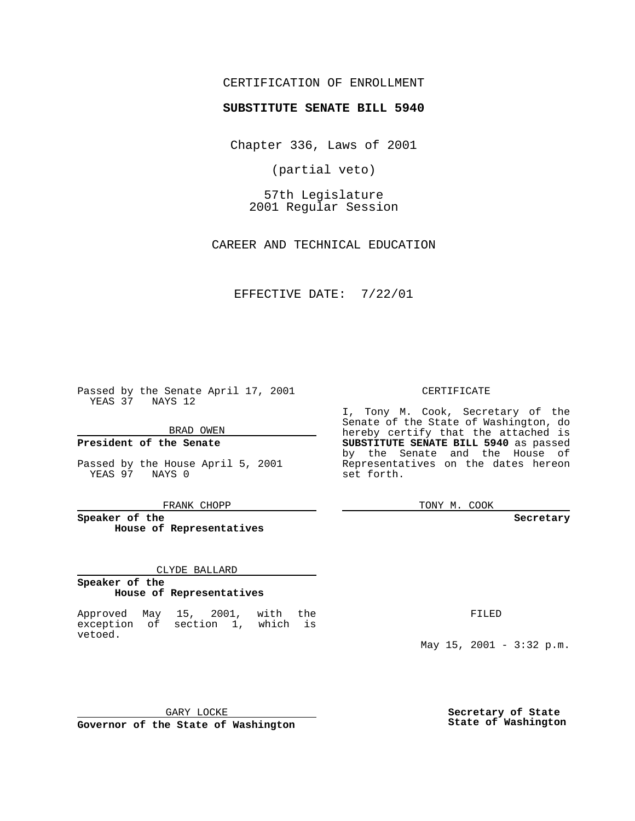## CERTIFICATION OF ENROLLMENT

# **SUBSTITUTE SENATE BILL 5940**

Chapter 336, Laws of 2001

(partial veto)

57th Legislature 2001 Regular Session

CAREER AND TECHNICAL EDUCATION

#### EFFECTIVE DATE: 7/22/01

Passed by the Senate April 17, 2001 YEAS 37 NAYS 12

BRAD OWEN

**President of the Senate**

Passed by the House April 5, 2001 YEAS 97 NAYS 0

FRANK CHOPP

**Speaker of the House of Representatives**

#### CLYDE BALLARD

#### **Speaker of the House of Representatives**

Approved May 15, 2001, with the exception of section 1, which is vetoed.

CERTIFICATE

I, Tony M. Cook, Secretary of the Senate of the State of Washington, do hereby certify that the attached is **SUBSTITUTE SENATE BILL 5940** as passed by the Senate and the House of Representatives on the dates hereon set forth.

TONY M. COOK

#### **Secretary**

FILED

May  $15$ ,  $2001 - 3:32$  p.m.

GARY LOCKE **Governor of the State of Washington** **Secretary of State State of Washington**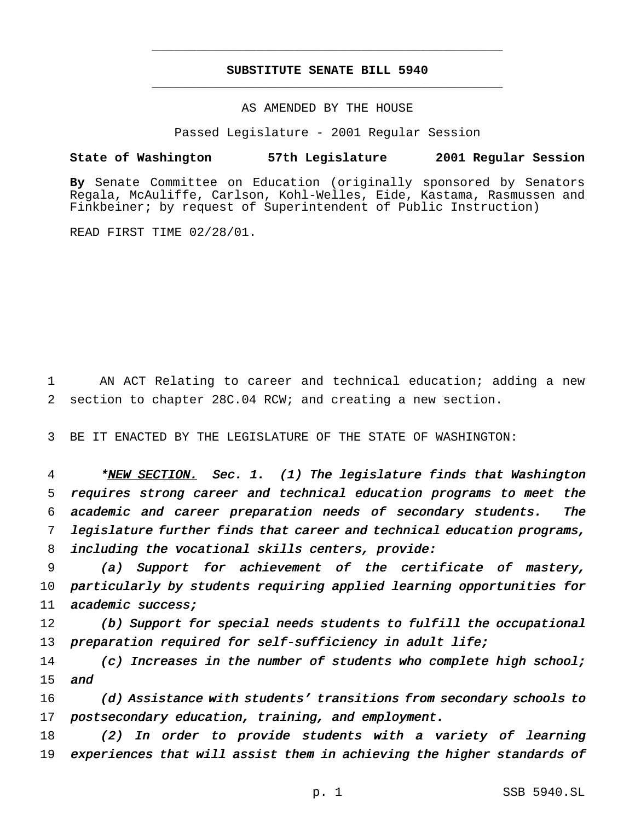## **SUBSTITUTE SENATE BILL 5940** \_\_\_\_\_\_\_\_\_\_\_\_\_\_\_\_\_\_\_\_\_\_\_\_\_\_\_\_\_\_\_\_\_\_\_\_\_\_\_\_\_\_\_\_\_\_\_

\_\_\_\_\_\_\_\_\_\_\_\_\_\_\_\_\_\_\_\_\_\_\_\_\_\_\_\_\_\_\_\_\_\_\_\_\_\_\_\_\_\_\_\_\_\_\_

### AS AMENDED BY THE HOUSE

Passed Legislature - 2001 Regular Session

#### **State of Washington 57th Legislature 2001 Regular Session**

**By** Senate Committee on Education (originally sponsored by Senators Regala, McAuliffe, Carlson, Kohl-Welles, Eide, Kastama, Rasmussen and Finkbeiner; by request of Superintendent of Public Instruction)

READ FIRST TIME 02/28/01.

1 AN ACT Relating to career and technical education; adding a new 2 section to chapter 28C.04 RCW; and creating a new section.

3 BE IT ENACTED BY THE LEGISLATURE OF THE STATE OF WASHINGTON:

4 \*NEW SECTION. Sec. 1. (1) The legislature finds that Washington requires strong career and technical education programs to meet the academic and career preparation needs of secondary students. The legislature further finds that career and technical education programs, including the vocational skills centers, provide:

9 (a) Support for achievement of the certificate of mastery, 10 particularly by students requiring applied learning opportunities for 11 academic success;

12 (b) Support for special needs students to fulfill the occupational 13 preparation required for self-sufficiency in adult life;

14 (c) Increases in the number of students who complete high school; 15 and

16 (d) Assistance with students' transitions from secondary schools to 17 postsecondary education, training, and employment.

18 (2) In order to provide students with <sup>a</sup> variety of learning 19 experiences that will assist them in achieving the higher standards of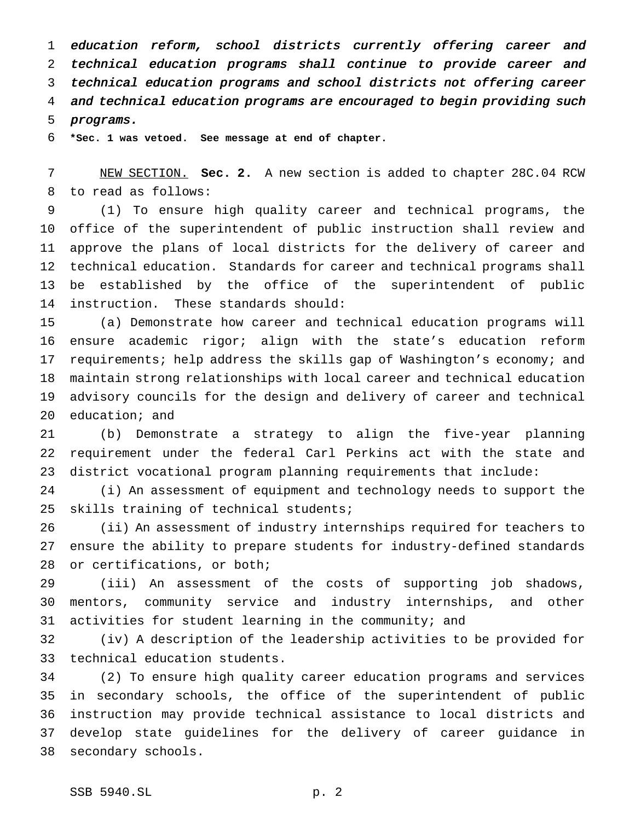education reform, school districts currently offering career and technical education programs shall continue to provide career and technical education programs and school districts not offering career and technical education programs are encouraged to begin providing such programs.

**\*Sec. 1 was vetoed. See message at end of chapter.**

 NEW SECTION. **Sec. 2.** A new section is added to chapter 28C.04 RCW to read as follows:

 (1) To ensure high quality career and technical programs, the office of the superintendent of public instruction shall review and approve the plans of local districts for the delivery of career and technical education. Standards for career and technical programs shall be established by the office of the superintendent of public instruction. These standards should:

 (a) Demonstrate how career and technical education programs will ensure academic rigor; align with the state's education reform requirements; help address the skills gap of Washington's economy; and maintain strong relationships with local career and technical education advisory councils for the design and delivery of career and technical education; and

 (b) Demonstrate a strategy to align the five-year planning requirement under the federal Carl Perkins act with the state and district vocational program planning requirements that include:

 (i) An assessment of equipment and technology needs to support the skills training of technical students;

 (ii) An assessment of industry internships required for teachers to ensure the ability to prepare students for industry-defined standards or certifications, or both;

 (iii) An assessment of the costs of supporting job shadows, mentors, community service and industry internships, and other activities for student learning in the community; and

 (iv) A description of the leadership activities to be provided for technical education students.

 (2) To ensure high quality career education programs and services in secondary schools, the office of the superintendent of public instruction may provide technical assistance to local districts and develop state guidelines for the delivery of career guidance in secondary schools.